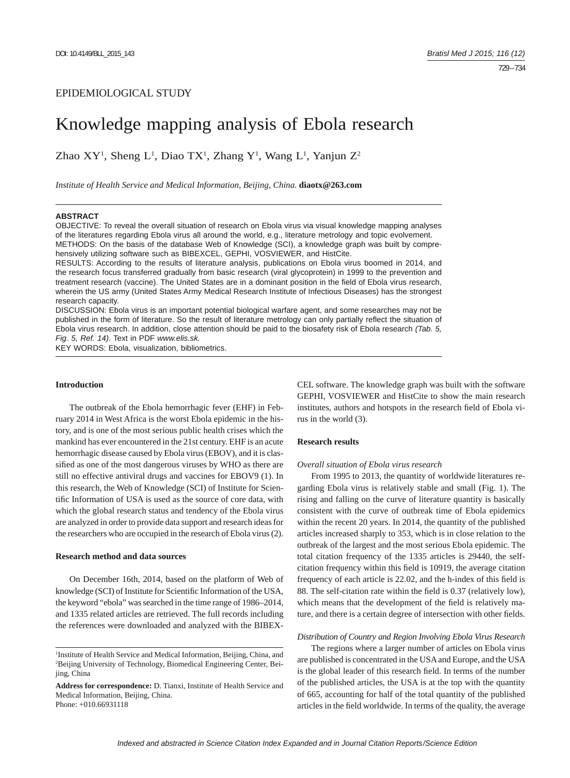# EPIDEMIOLOGICAL STUDY

# Knowledge mapping analysis of Ebola research

Zhao  $XY^1$ , Sheng L<sup>1</sup>, Diao TX<sup>1</sup>, Zhang Y<sup>1</sup>, Wang L<sup>1</sup>, Yanjun Z<sup>2</sup>

*Institute of Health Service and Medical Information, Beijing, China.* **diaotx@263.com**

## **ABSTRACT**

OBJECTIVE: To reveal the overall situation of research on Ebola virus via visual knowledge mapping analyses of the literatures regarding Ebola virus all around the world, e.g., literature metrology and topic evolvement. METHODS: On the basis of the database Web of Knowledge (SCI), a knowledge graph was built by comprehensively utilizing software such as BIBEXCEL, GEPHI, VOSVIEWER, and HistCite.

RESULTS: According to the results of literature analysis, publications on Ebola virus boomed in 2014, and the research focus transferred gradually from basic research (viral glycoprotein) in 1999 to the prevention and treatment research (vaccine). The United States are in a dominant position in the field of Ebola virus research, wherein the US army (United States Army Medical Research Institute of Infectious Diseases) has the strongest research capacity.

DISCUSSION: Ebola virus is an important potential biological warfare agent, and some researches may not be published in the form of literature. So the result of literature metrology can only partially reflect the situation of Ebola virus research. In addition, close attention should be paid to the biosafety risk of Ebola research *(Tab. 5, Fig. 5, Ref. 14)*. Text in PDF *www.elis.sk.*

KEY WORDS: Ebola, visualization, bibliometrics.

#### **Introduction**

The outbreak of the Ebola hemorrhagic fever (EHF) in February 2014 in West Africa is the worst Ebola epidemic in the history, and is one of the most serious public health crises which the mankind has ever encountered in the 21st century. EHF is an acute hemorrhagic disease caused by Ebola virus (EBOV), and it is classified as one of the most dangerous viruses by WHO as there are still no effective antiviral drugs and vaccines for EBOV9 (1). In this research, the Web of Knowledge (SCI) of Institute for Scientific Information of USA is used as the source of core data, with which the global research status and tendency of the Ebola virus are analyzed in order to provide data support and research ideas for the researchers who are occupied in the research of Ebola virus (2).

#### **Research method and data sources**

On December 16th, 2014, based on the platform of Web of knowledge (SCI) of Institute for Scientific Information of the USA, the keyword "ebola" was searched in the time range of 1986–2014, and 1335 related articles are retrieved. The full records including the references were downloaded and analyzed with the BIBEX-

CEL software. The knowledge graph was built with the software GEPHI, VOSVIEWER and HistCite to show the main research institutes, authors and hotspots in the research field of Ebola virus in the world (3).

#### **Research results**

## *Overall situation of Ebola virus research*

From 1995 to 2013, the quantity of worldwide literatures regarding Ebola virus is relatively stable and small (Fig. 1). The rising and falling on the curve of literature quantity is basically consistent with the curve of outbreak time of Ebola epidemics within the recent 20 years. In 2014, the quantity of the published articles increased sharply to 353, which is in close relation to the outbreak of the largest and the most serious Ebola epidemic. The total citation frequency of the 1335 articles is 29440, the selfcitation frequency within this field is 10919, the average citation frequency of each article is 22.02, and the h-index of this field is 88. The self-citation rate within the field is 0.37 (relatively low), which means that the development of the field is relatively mature, and there is a certain degree of intersection with other fields.

#### *Distribution of Country and Region Involving Ebola Virus Research*

The regions where a larger number of articles on Ebola virus are published is concentrated in the USA and Europe, and the USA is the global leader of this research field. In terms of the number of the published articles, the USA is at the top with the quantity of 665, accounting for half of the total quantity of the published articles in the field worldwide. In terms of the quality, the average

<sup>&</sup>lt;sup>1</sup>Institute of Health Service and Medical Information, Beijing, China, and 2 Beijing University of Technology, Biomedical Engineering Center, Beijing, China

**Address for correspondence:** D. Tianxi, Institute of Health Service and Medical Information, Beijing, China. Phone: +010.66931118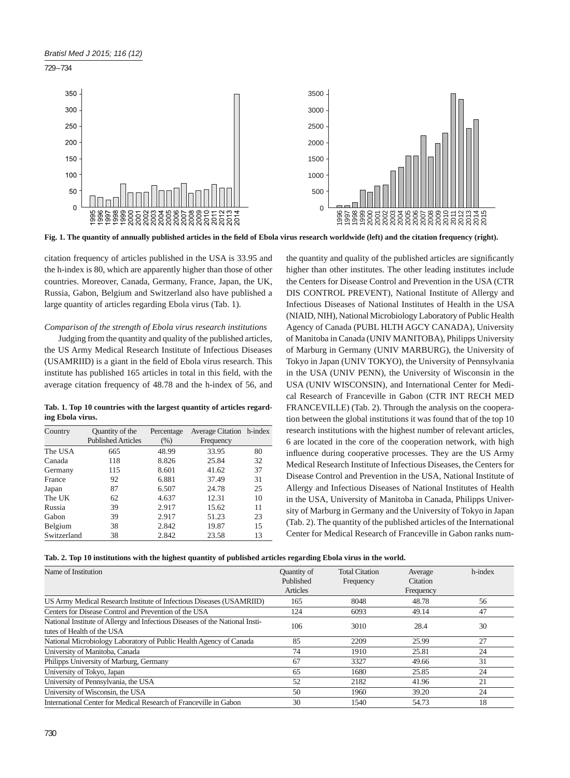





Fig. 1. The quantity of annually published articles in the field of Ebola virus research worldwide (left) and the citation frequency (right).

citation frequency of articles published in the USA is 33.95 and the h-index is 80, which are apparently higher than those of other countries. Moreover, Canada, Germany, France, Japan, the UK, Russia, Gabon, Belgium and Switzerland also have published a large quantity of articles regarding Ebola virus (Tab. 1).

# *Comparison of the strength of Ebola virus research institutions*

Judging from the quantity and quality of the published articles, the US Army Medical Research Institute of Infectious Diseases (USAMRIID) is a giant in the field of Ebola virus research. This institute has published 165 articles in total in this field, with the average citation frequency of 48.78 and the h-index of 56, and

**Tab. 1. Top 10 countries with the largest quantity of articles regarding Ebola virus.**

| Country     | Quantity of the           | Percentage | Average Citation h-index |    |
|-------------|---------------------------|------------|--------------------------|----|
|             | <b>Published Articles</b> | (% )       | Frequency                |    |
| The USA     | 665                       | 48.99      | 33.95                    | 80 |
| Canada      | 118                       | 8.826      | 25.84                    | 32 |
| Germany     | 115                       | 8.601      | 41.62                    | 37 |
| France      | 92                        | 6.881      | 37.49                    | 31 |
| Japan       | 87                        | 6.507      | 24.78                    | 25 |
| The UK      | 62                        | 4.637      | 12.31                    | 10 |
| Russia      | 39                        | 2.917      | 15.62                    | 11 |
| Gabon       | 39                        | 2.917      | 51.23                    | 23 |
| Belgium     | 38                        | 2.842      | 19.87                    | 15 |
| Switzerland | 38                        | 2.842      | 23.58                    | 13 |

the quantity and quality of the published articles are significantly higher than other institutes. The other leading institutes include the Centers for Disease Control and Prevention in the USA (CTR DIS CONTROL PREVENT), National Institute of Allergy and Infectious Diseases of National Institutes of Health in the USA (NIAID, NIH), National Microbiology Laboratory of Public Health Agency of Canada (PUBL HLTH AGCY CANADA), University of Manitoba in Canada (UNIV MANITOBA), Philipps University of Marburg in Germany (UNIV MARBURG), the University of Tokyo in Japan (UNIV TOKYO), the University of Pennsylvania in the USA (UNIV PENN), the University of Wisconsin in the USA (UNIV WISCONSIN), and International Center for Medical Research of Franceville in Gabon (CTR INT RECH MED FRANCEVILLE) (Tab. 2). Through the analysis on the cooperation between the global institutions it was found that of the top 10 research institutions with the highest number of relevant articles, 6 are located in the core of the cooperation network, with high influence during cooperative processes. They are the US Army Medical Research Institute of Infectious Diseases, the Centers for Disease Control and Prevention in the USA, National Institute of Allergy and Infectious Diseases of National Institutes of Health in the USA, University of Manitoba in Canada, Philipps University of Marburg in Germany and the University of Tokyo in Japan (Tab. 2). The quantity of the published articles of the International Center for Medical Research of Franceville in Gabon ranks num-

|  |  |  |  |  |  |  | Tab. 2. Top 10 institutions with the highest quantity of published articles regarding Ebola virus in the world. |
|--|--|--|--|--|--|--|-----------------------------------------------------------------------------------------------------------------|
|--|--|--|--|--|--|--|-----------------------------------------------------------------------------------------------------------------|

| Name of Institution                                                                                        | Quantity of<br>Published<br>Articles | <b>Total Citation</b><br>Frequency | Average<br>Citation<br>Frequency | h-index |
|------------------------------------------------------------------------------------------------------------|--------------------------------------|------------------------------------|----------------------------------|---------|
| US Army Medical Research Institute of Infectious Diseases (USAMRIID)                                       | 165                                  | 8048                               | 48.78                            | 56      |
| Centers for Disease Control and Prevention of the USA                                                      | 124                                  | 6093                               | 49.14                            | 47      |
| National Institute of Allergy and Infectious Diseases of the National Insti-<br>tutes of Health of the USA | 106                                  | 3010                               | 28.4                             | 30      |
| National Microbiology Laboratory of Public Health Agency of Canada                                         | 85                                   | 2209                               | 25.99                            | 27      |
| University of Manitoba, Canada                                                                             | 74                                   | 1910                               | 25.81                            | 24      |
| Philipps University of Marburg, Germany                                                                    | 67                                   | 3327                               | 49.66                            | 31      |
| University of Tokyo, Japan                                                                                 | 65                                   | 1680                               | 25.85                            | 24      |
| University of Pennsylvania, the USA                                                                        | 52                                   | 2182                               | 41.96                            | 21      |
| University of Wisconsin, the USA                                                                           | 50                                   | 1960                               | 39.20                            | 24      |
| International Center for Medical Research of Franceville in Gabon                                          | 30                                   | 1540                               | 54.73                            | 18      |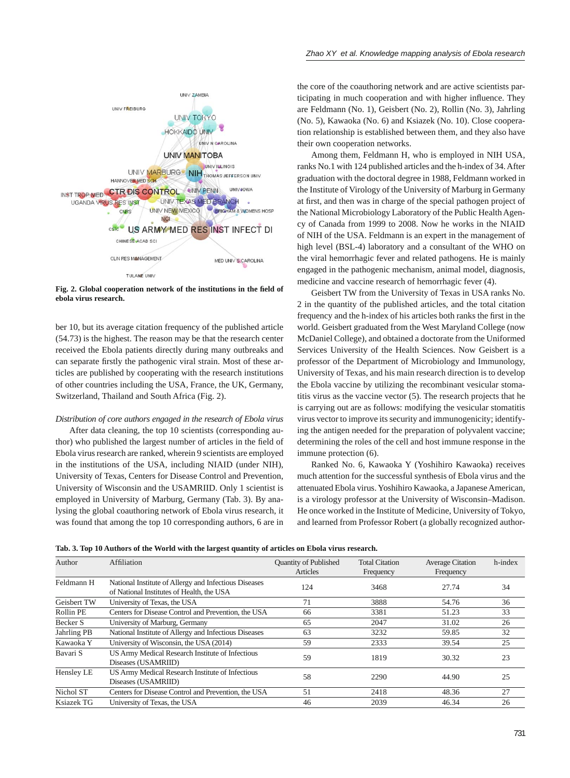

Fig. 2. Global cooperation network of the institutions in the field of **ebola virus research.**

ber 10, but its average citation frequency of the published article (54.73) is the highest. The reason may be that the research center received the Ebola patients directly during many outbreaks and can separate firstly the pathogenic viral strain. Most of these articles are published by cooperating with the research institutions of other countries including the USA, France, the UK, Germany, Switzerland, Thailand and South Africa (Fig. 2).

#### *Distribution of core authors engaged in the research of Ebola virus*

After data cleaning, the top 10 scientists (corresponding author) who published the largest number of articles in the field of Ebola virus research are ranked, wherein 9 scientists are employed in the institutions of the USA, including NIAID (under NIH), University of Texas, Centers for Disease Control and Prevention, University of Wisconsin and the USAMRIID. Only 1 scientist is employed in University of Marburg, Germany (Tab. 3). By analysing the global coauthoring network of Ebola virus research, it was found that among the top 10 corresponding authors, 6 are in the core of the coauthoring network and are active scientists participating in much cooperation and with higher influence. They are Feldmann (No. 1), Geisbert (No. 2), Rollin (No. 3), Jahrling (No. 5), Kawaoka (No. 6) and Ksiazek (No. 10). Close cooperation relationship is established between them, and they also have their own cooperation networks.

Among them, Feldmann H, who is employed in NIH USA, ranks No.1 with 124 published articles and the h-index of 34. After graduation with the doctoral degree in 1988, Feldmann worked in the Institute of Virology of the University of Marburg in Germany at first, and then was in charge of the special pathogen project of the National Microbiology Laboratory of the Public Health Agency of Canada from 1999 to 2008. Now he works in the NIAID of NIH of the USA. Feldmann is an expert in the management of high level (BSL-4) laboratory and a consultant of the WHO on the viral hemorrhagic fever and related pathogens. He is mainly engaged in the pathogenic mechanism, animal model, diagnosis, medicine and vaccine research of hemorrhagic fever (4).

Geisbert TW from the University of Texas in USA ranks No. 2 in the quantity of the published articles, and the total citation frequency and the h-index of his articles both ranks the first in the world. Geisbert graduated from the West Maryland College (now McDaniel College), and obtained a doctorate from the Uniformed Services University of the Health Sciences. Now Geisbert is a professor of the Department of Microbiology and Immunology, University of Texas, and his main research direction is to develop the Ebola vaccine by utilizing the recombinant vesicular stomatitis virus as the vaccine vector (5). The research projects that he is carrying out are as follows: modifying the vesicular stomatitis virus vector to improve its security and immunogenicity; identifying the antigen needed for the preparation of polyvalent vaccine; determining the roles of the cell and host immune response in the immune protection (6).

Ranked No. 6, Kawaoka Y (Yoshihiro Kawaoka) receives much attention for the successful synthesis of Ebola virus and the attenuated Ebola virus. Yoshihiro Kawaoka, a Japanese American, is a virology professor at the University of Wisconsin–Madison. He once worked in the Institute of Medicine, University of Tokyo, and learned from Professor Robert (a globally recognized author-

| Tab. 3. Top 10 Authors of the World with the largest quantity of articles on Ebola virus research. |  |  |  |
|----------------------------------------------------------------------------------------------------|--|--|--|
|----------------------------------------------------------------------------------------------------|--|--|--|

| Author      | Affiliation                                                                                        | <b>Ouantity of Published</b><br>Articles | <b>Total Citation</b><br>Frequency | <b>Average Citation</b><br>Frequency | h-index |
|-------------|----------------------------------------------------------------------------------------------------|------------------------------------------|------------------------------------|--------------------------------------|---------|
| Feldmann H  | National Institute of Allergy and Infectious Diseases<br>of National Institutes of Health, the USA | 124                                      | 3468                               | 27.74                                | 34      |
| Geisbert TW | University of Texas, the USA                                                                       | 71                                       | 3888                               | 54.76                                | 36      |
| Rollin PE   | Centers for Disease Control and Prevention, the USA                                                | 66                                       | 3381                               | 51.23                                | 33      |
| Becker S    | University of Marburg, Germany                                                                     | 65                                       | 2047                               | 31.02                                | 26      |
| Jahrling PB | National Institute of Allergy and Infectious Diseases                                              | 63                                       | 3232                               | 59.85                                | 32      |
| Kawaoka Y   | University of Wisconsin, the USA (2014)                                                            | 59                                       | 2333                               | 39.54                                | 25      |
| Bavari S    | US Army Medical Research Institute of Infectious<br>Diseases (USAMRIID)                            | 59                                       | 1819                               | 30.32                                | 23      |
| Hensley LE  | US Army Medical Research Institute of Infectious<br>Diseases (USAMRIID)                            | 58                                       | 2290                               | 44.90                                | 25      |
| Nichol ST   | Centers for Disease Control and Prevention, the USA                                                | 51                                       | 2418                               | 48.36                                | 27      |
| Ksiazek TG  | University of Texas, the USA                                                                       | 46                                       | 2039                               | 46.34                                | 26      |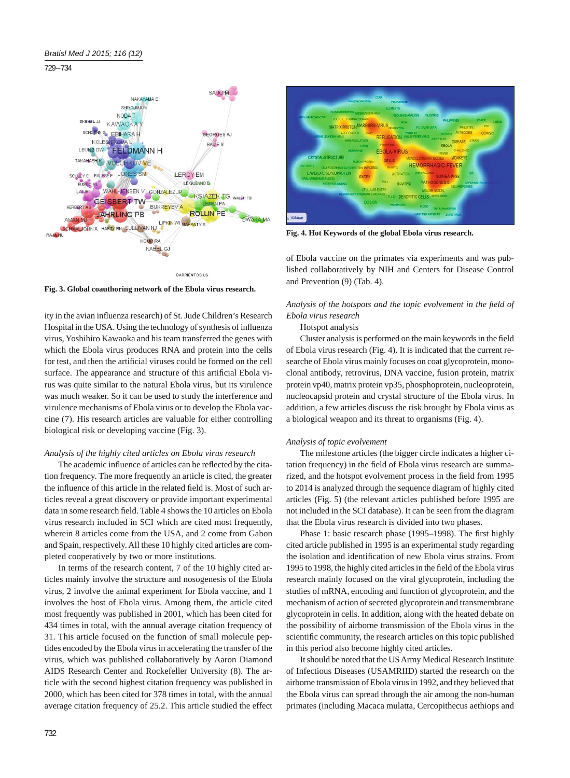729 – 734





**Fig. 4. Hot Keywords of the global Ebola virus research.**

of Ebola vaccine on the primates via experiments and was published collaboratively by NIH and Centers for Disease Control and Prevention (9) (Tab. 4).

**Fig. 3. Global coauthoring network of the Ebola virus research.**

ity in the avian influenza research) of St. Jude Children's Research Hospital in the USA. Using the technology of synthesis of influenza virus, Yoshihiro Kawaoka and his team transferred the genes with which the Ebola virus produces RNA and protein into the cells for test, and then the artificial viruses could be formed on the cell surface. The appearance and structure of this artificial Ebola virus was quite similar to the natural Ebola virus, but its virulence was much weaker. So it can be used to study the interference and virulence mechanisms of Ebola virus or to develop the Ebola vaccine (7). His research articles are valuable for either controlling biological risk or developing vaccine (Fig. 3).

## *Analysis of the highly cited articles on Ebola virus research*

The academic influence of articles can be reflected by the citation frequency. The more frequently an article is cited, the greater the influence of this article in the related field is. Most of such articles reveal a great discovery or provide important experimental data in some research field. Table 4 shows the 10 articles on Ebola virus research included in SCI which are cited most frequently, wherein 8 articles come from the USA, and 2 come from Gabon and Spain, respectively. All these 10 highly cited articles are completed cooperatively by two or more institutions.

In terms of the research content, 7 of the 10 highly cited articles mainly involve the structure and nosogenesis of the Ebola virus, 2 involve the animal experiment for Ebola vaccine, and 1 involves the host of Ebola virus. Among them, the article cited most frequently was published in 2001, which has been cited for 434 times in total, with the annual average citation frequency of 31. This article focused on the function of small molecule peptides encoded by the Ebola virus in accelerating the transfer of the virus, which was published collaboratively by Aaron Diamond AIDS Research Center and Rockefeller University (8). The article with the second highest citation frequency was published in 2000, which has been cited for 378 times in total, with the annual average citation frequency of 25.2. This article studied the effect Analysis of the hotspots and the topic evolvement in the field of *Ebola virus research*

## Hotspot analysis

Cluster analysis is performed on the main keywords in the field of Ebola virus research (Fig. 4). It is indicated that the current researche of Ebola virus mainly focuses on coat glycoprotein, monoclonal antibody, retrovirus, DNA vaccine, fusion protein, matrix protein vp40, matrix protein vp35, phosphoprotein, nucleoprotein, nucleocapsid protein and crystal structure of the Ebola virus. In addition, a few articles discuss the risk brought by Ebola virus as a biological weapon and its threat to organisms (Fig. 4).

## *Analysis of topic evolvement*

The milestone articles (the bigger circle indicates a higher citation frequency) in the field of Ebola virus research are summarized, and the hotspot evolvement process in the field from 1995 to 2014 is analyzed through the sequence diagram of highly cited articles (Fig. 5) (the relevant articles published before 1995 are not included in the SCI database). It can be seen from the diagram that the Ebola virus research is divided into two phases.

Phase 1: basic research phase (1995–1998). The first highly cited article published in 1995 is an experimental study regarding the isolation and identification of new Ebola virus strains. From 1995 to 1998, the highly cited articles in the field of the Ebola virus research mainly focused on the viral glycoprotein, including the studies of mRNA, encoding and function of glycoprotein, and the mechanism of action of secreted glycoprotein and transmembrane glycoprotein in cells. In addition, along with the heated debate on the possibility of airborne transmission of the Ebola virus in the scientific community, the research articles on this topic published in this period also become highly cited articles.

It should be noted that the US Army Medical Research Institute of Infectious Diseases (USAMRIID) started the research on the airborne transmission of Ebola virus in 1992, and they believed that the Ebola virus can spread through the air among the non-human primates (including Macaca mulatta, Cercopithecus aethiops and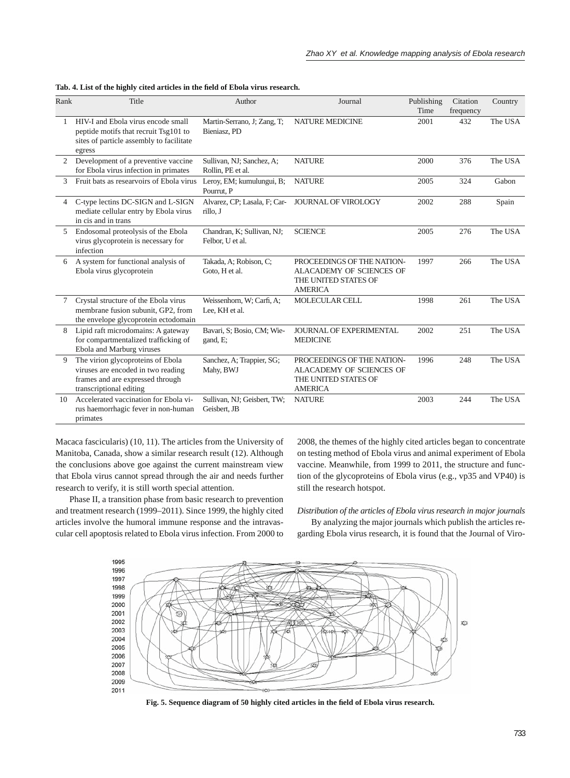| Rank           | Title                                                                                                                                  | Author                                         | Journal                                                                                          | Publishing<br>Time | Citation<br>frequency | Country |
|----------------|----------------------------------------------------------------------------------------------------------------------------------------|------------------------------------------------|--------------------------------------------------------------------------------------------------|--------------------|-----------------------|---------|
|                | HIV-I and Ebola virus encode small<br>peptide motifs that recruit Tsg101 to<br>sites of particle assembly to facilitate<br>egress      | Martin-Serrano, J; Zang, T;<br>Bieniasz, PD    | <b>NATURE MEDICINE</b>                                                                           | 2001               | 432                   | The USA |
| $\overline{2}$ | Development of a preventive vaccine<br>for Ebola virus infection in primates                                                           | Sullivan, NJ; Sanchez, A;<br>Rollin, PE et al. | <b>NATURE</b>                                                                                    | 2000               | 376                   | The USA |
| 3              | Fruit bats as researvoirs of Ebola virus                                                                                               | Leroy, EM; kumulungui, B;<br>Pourrut, P        | <b>NATURE</b>                                                                                    | 2005               | 324                   | Gabon   |
| $\overline{4}$ | C-type lectins DC-SIGN and L-SIGN<br>mediate cellular entry by Ebola virus<br>in cis and in trans                                      | Alvarez, CP; Lasala, F; Car-<br>rillo. J       | <b>JOURNAL OF VIROLOGY</b>                                                                       | 2002               | 288                   | Spain   |
| 5              | Endosomal proteolysis of the Ebola<br>virus glycoprotein is necessary for<br>infection                                                 | Chandran, K; Sullivan, NJ;<br>Felbor, U et al. | <b>SCIENCE</b>                                                                                   | 2005               | 276                   | The USA |
| 6              | A system for functional analysis of<br>Ebola virus glycoprotein                                                                        | Takada, A; Robison, C;<br>Goto, H et al.       | PROCEEDINGS OF THE NATION-<br>ALACADEMY OF SCIENCES OF<br>THE UNITED STATES OF<br><b>AMERICA</b> | 1997               | 266                   | The USA |
| 7              | Crystal structure of the Ebola virus<br>membrane fusion subunit, GP2, from<br>the envelope glycoprotein ectodomain                     | Weissenhorn, W; Carfi, A;<br>Lee, KH et al.    | <b>MOLECULAR CELL</b>                                                                            | 1998               | 261                   | The USA |
| 8              | Lipid raft microdomains: A gateway<br>for compartmentalized trafficking of<br>Ebola and Marburg viruses                                | Bavari, S; Bosio, CM; Wie-<br>gand, E;         | JOURNAL OF EXPERIMENTAL<br><b>MEDICINE</b>                                                       | 2002               | 251                   | The USA |
| 9              | The virion glycoproteins of Ebola<br>viruses are encoded in two reading<br>frames and are expressed through<br>transcriptional editing | Sanchez, A; Trappier, SG;<br>Mahy, BWJ         | PROCEEDINGS OF THE NATION-<br>ALACADEMY OF SCIENCES OF<br>THE UNITED STATES OF<br><b>AMERICA</b> | 1996               | 248                   | The USA |
| 10             | Accelerated vaccination for Ebola vi-<br>rus haemorrhagic fever in non-human<br>primates                                               | Sullivan, NJ; Geisbert, TW;<br>Geisbert, JB    | <b>NATURE</b>                                                                                    | 2003               | 244                   | The USA |

|  |  |  |  |  |  | Tab. 4. List of the highly cited articles in the field of Ebola virus research. |  |  |  |  |  |  |
|--|--|--|--|--|--|---------------------------------------------------------------------------------|--|--|--|--|--|--|
|--|--|--|--|--|--|---------------------------------------------------------------------------------|--|--|--|--|--|--|

Macaca fascicularis) (10, 11). The articles from the University of Manitoba, Canada, show a similar research result (12). Although the conclusions above goe against the current mainstream view that Ebola virus cannot spread through the air and needs further research to verify, it is still worth special attention.

Phase II, a transition phase from basic research to prevention and treatment research (1999–2011). Since 1999, the highly cited articles involve the humoral immune response and the intravascular cell apoptosis related to Ebola virus infection. From 2000 to

2008, the themes of the highly cited articles began to concentrate on testing method of Ebola virus and animal experiment of Ebola vaccine. Meanwhile, from 1999 to 2011, the structure and function of the glycoproteins of Ebola virus (e.g., vp35 and VP40) is still the research hotspot.

*Distribution of the articles of Ebola virus research in major journals*

By analyzing the major journals which publish the articles regarding Ebola virus research, it is found that the Journal of Viro-



**Fig. 5. Sequence diagram of 50 highly cited articles in the fi eld of Ebola virus research.**